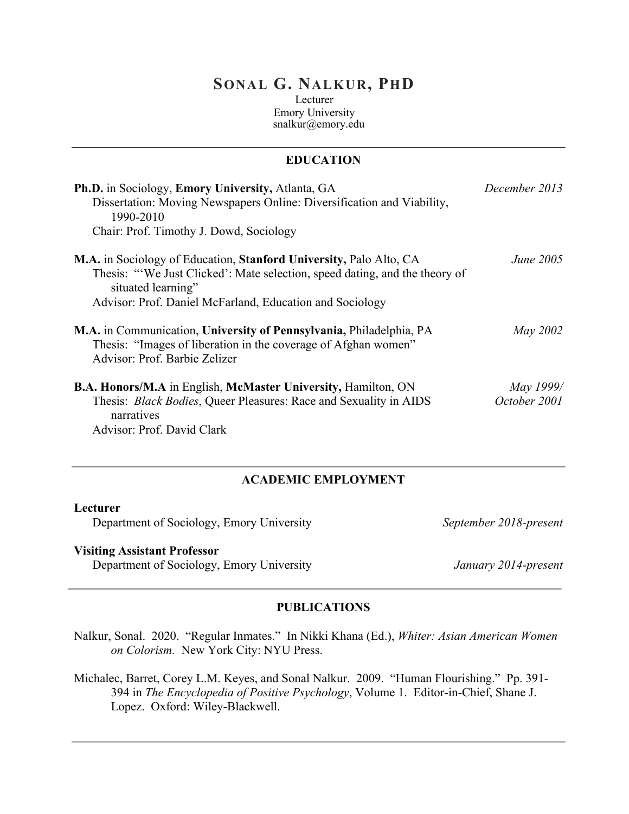# **SONAL G. NALKUR, PHD**

Lecturer Emory University snalkur@emory.edu

# **EDUCATION**

| Ph.D. in Sociology, Emory University, Atlanta, GA<br>Dissertation: Moving Newspapers Online: Diversification and Viability,<br>1990-2010<br>Chair: Prof. Timothy J. Dowd, Sociology | December 2013 |
|-------------------------------------------------------------------------------------------------------------------------------------------------------------------------------------|---------------|
|                                                                                                                                                                                     |               |
| M.A. in Communication, University of Pennsylvania, Philadelphia, PA<br>Thesis: "Images of liberation in the coverage of Afghan women"<br>Advisor: Prof. Barbie Zelizer              | May 2002      |
| <b>B.A. Honors/M.A</b> in English, McMaster University, Hamilton, ON                                                                                                                | May 1999/     |
| Thesis: <i>Black Bodies</i> , Queer Pleasures: Race and Sexuality in AIDS<br>narratives<br>Advisor: Prof. David Clark                                                               | October 2001  |

#### **ACADEMIC EMPLOYMENT**

#### **Lecturer**

Department of Sociology, Emory University

*September 2018-present*

## **Visiting Assistant Professor**

Department of Sociology, Emory University *January 2014-present*

### **PUBLICATIONS**

Nalkur, Sonal. 2020. "Regular Inmates." In Nikki Khana (Ed.), *Whiter: Asian American Women on Colorism.* New York City: NYU Press.

Michalec, Barret, Corey L.M. Keyes, and Sonal Nalkur. 2009. "Human Flourishing." Pp. 391- 394 in *The Encyclopedia of Positive Psychology*, Volume 1. Editor-in-Chief, Shane J. Lopez. Oxford: Wiley-Blackwell.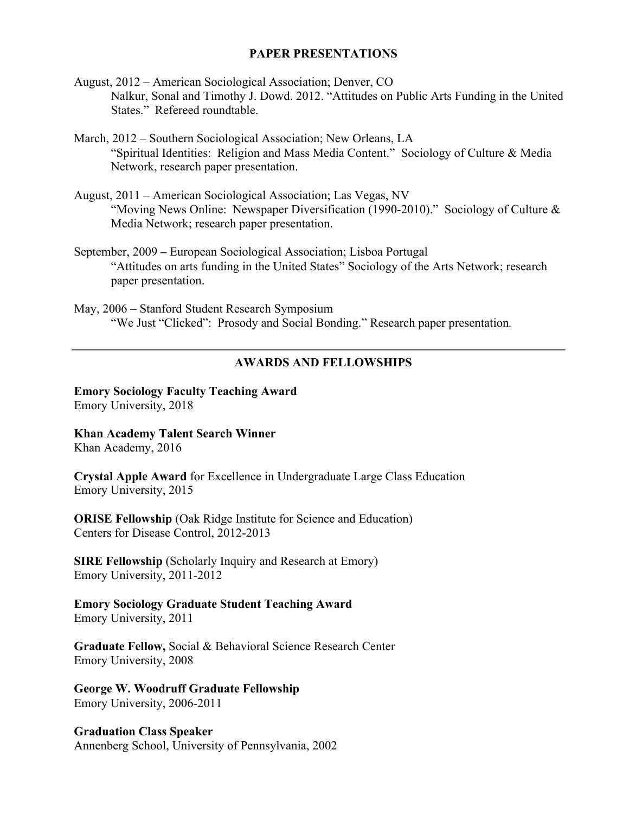### **PAPER PRESENTATIONS**

August, 2012 – American Sociological Association; Denver, CO Nalkur, Sonal and Timothy J. Dowd. 2012. "Attitudes on Public Arts Funding in the United States." Refereed roundtable.

March, 2012 – Southern Sociological Association; New Orleans, LA "Spiritual Identities: Religion and Mass Media Content." Sociology of Culture & Media Network, research paper presentation.

August, 2011 – American Sociological Association; Las Vegas, NV "Moving News Online: Newspaper Diversification (1990-2010)." Sociology of Culture & Media Network; research paper presentation.

September, 2009 **–** European Sociological Association; Lisboa Portugal "Attitudes on arts funding in the United States" Sociology of the Arts Network; research paper presentation.

May, 2006 – Stanford Student Research Symposium "We Just "Clicked": Prosody and Social Bonding." Research paper presentation*.* 

## **AWARDS AND FELLOWSHIPS**

**Emory Sociology Faculty Teaching Award** Emory University, 2018

**Khan Academy Talent Search Winner** Khan Academy, 2016

**Crystal Apple Award** for Excellence in Undergraduate Large Class Education Emory University, 2015

**ORISE Fellowship (Oak Ridge Institute for Science and Education)** Centers for Disease Control, 2012-2013

**SIRE Fellowship** (Scholarly Inquiry and Research at Emory) Emory University, 2011-2012

**Emory Sociology Graduate Student Teaching Award** Emory University, 2011

**Graduate Fellow,** Social & Behavioral Science Research Center Emory University, 2008

**George W. Woodruff Graduate Fellowship** Emory University, 2006-2011

**Graduation Class Speaker** Annenberg School, University of Pennsylvania, 2002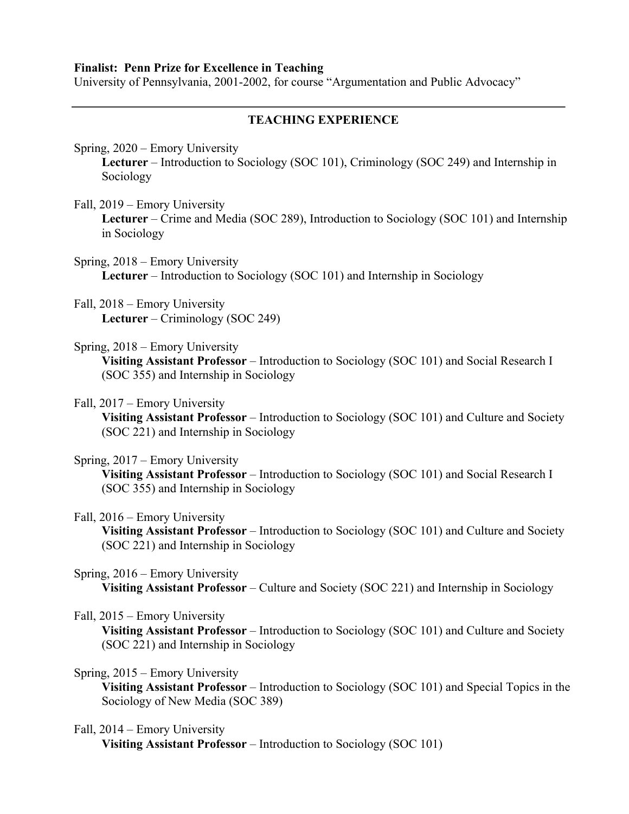#### **Finalist: Penn Prize for Excellence in Teaching**

University of Pennsylvania, 2001-2002, for course "Argumentation and Public Advocacy"

## **TEACHING EXPERIENCE**

Spring, 2020 – Emory University

**Lecturer** – Introduction to Sociology (SOC 101), Criminology (SOC 249) and Internship in Sociology

Fall, 2019 – Emory University

**Lecturer** – Crime and Media (SOC 289), Introduction to Sociology (SOC 101) and Internship in Sociology

- Spring, 2018 Emory University **Lecturer** – Introduction to Sociology (SOC 101) and Internship in Sociology
- Fall, 2018 Emory University **Lecturer** – Criminology (SOC 249)
- Spring, 2018 Emory University

**Visiting Assistant Professor** – Introduction to Sociology (SOC 101) and Social Research I (SOC 355) and Internship in Sociology

#### Fall, 2017 – Emory University

**Visiting Assistant Professor** – Introduction to Sociology (SOC 101) and Culture and Society (SOC 221) and Internship in Sociology

#### Spring, 2017 – Emory University

**Visiting Assistant Professor** – Introduction to Sociology (SOC 101) and Social Research I (SOC 355) and Internship in Sociology

### Fall, 2016 – Emory University

**Visiting Assistant Professor** – Introduction to Sociology (SOC 101) and Culture and Society (SOC 221) and Internship in Sociology

### Spring, 2016 – Emory University

**Visiting Assistant Professor** – Culture and Society (SOC 221) and Internship in Sociology

### Fall, 2015 – Emory University

**Visiting Assistant Professor** – Introduction to Sociology (SOC 101) and Culture and Society (SOC 221) and Internship in Sociology

#### Spring, 2015 – Emory University

**Visiting Assistant Professor** – Introduction to Sociology (SOC 101) and Special Topics in the Sociology of New Media (SOC 389)

#### Fall, 2014 – Emory University

**Visiting Assistant Professor** – Introduction to Sociology (SOC 101)